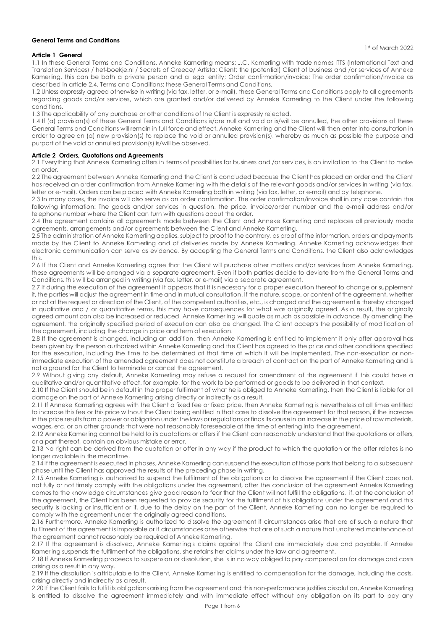### General Terms and Conditions

## Article 1 General

1.1 In these General Terms and Conditions, Anneke Kamerling means: J.C. Kamerling with trade names ITTS (International Text and Translation Services) / het-boekje.nl / Secrets of Greece/ Artista; Client: the (potential) Client of business and /or services of Anneke Kamerling, this can be both a private person and a legal entity; Order confirmation/invoice: The order confirmation/invoice as described in article 2.4. Terms and Conditions: these General Terms and Conditions.

1.2 Unless expressly agreed otherwise in writing (via fax, letter, or e-mail), these General Terms and Conditions apply to all agreements regarding goods and/or services, which are granted and/or delivered by Anneke Kamerling to the Client under the following conditions.

1.3 The applicability of any purchase or other conditions of the Client is expressly rejected.

1.4 If (a) provision(s) of these General Terms and Conditions is/are null and void or is/will be annulled, the other provisions of these General Terms and Conditions will remain in full force and effect. Anneke Kamerling and the Client will then enter into consultation in order to agree on (a) new provision(s) to replace the void or annulled provision(s), whereby as much as possible the purpose and purport of the void or annulled provision(s) is/will be observed.

## Article 2 Orders, Quotations and Agreements

2.1 Everything that Anneke Kamerling offers in terms of possibilities for business and /or services, is an invitation to the Client to make an order.

2.2 The agreement between Anneke Kamerling and the Client is concluded because the Client has placed an order and the Client has received an order confirmation from Anneke Kamerling with the details of the relevant goods and/or services in writing (via fax, letter or e-mail). Orders can be placed with Anneke Kamerling both in writing (via fax, letter, or e-mail) and by telephone.

2.3 In many cases, the invoice will also serve as an order confirmation. The order confirmation/invoice shall in any case contain the following information: The goods and/or services in question, the price, invoice/order number and the e-mail address and/or telephone number where the Client can turn with questions about the order.

2.4 The agreement contains all agreements made between the Client and Anneke Kamerling and replaces all previously made agreements, arrangements and/or agreements between the Client and Anneke Kamerling.

2.5 The administration of Anneke Kamerling applies, subject to proof to the contrary, as proof of the information, orders and payments made by the Client to Anneke Kamerling and of deliveries made by Anneke Kamerling. Anneke Kamerling acknowledges that electronic communication can serve as evidence. By accepting the General Terms and Conditions, the Client also acknowledges this.

2.6 If the Client and Anneke Kamerling agree that the Client will purchase other matters and/or services from Anneke Kamerling, these agreements will be arranged via a separate agreement. Even if both parties decide to deviate from the General Terms and Conditions, this will be arranged in writing (via fax, letter, or e-mail) via a separate agreement.

2.7 If during the execution of the agreement it appears that it is necessary for a proper execution thereof to change or supplement it, the parties will adjust the agreement in time and in mutual consultation. If the nature, scope, or content of the agreement, whether or not at the request or direction of the Client, of the competent authorities, etc., is changed and the agreement is thereby changed in qualitative and / or quantitative terms, this may have consequences for what was originally agreed. As a result, the originally agreed amount can also be increased or reduced. Anneke Kamerling will quote as much as possible in advance. By amending the agreement, the originally specified period of execution can also be changed. The Client accepts the possibility of modification of the agreement, including the change in price and term of execution.

2.8 If the agreement is changed, including an addition, then Anneke Kamerling is entitled to implement it only after approval has been given by the person authorized within Anneke Kamerling and the Client has agreed to the price and other conditions specified for the execution, including the time to be determined at that time at which it will be implemented. The non-execution or nonimmediate execution of the amended agreement does not constitute a breach of contract on the part of Anneke Kamerling and is not a ground for the Client to terminate or cancel the agreement.

2.9 Without giving any default, Anneke Kamerling may refuse a request for amendment of the agreement if this could have a qualitative and/or quantitative effect, for example, for the work to be performed or goods to be delivered in that context.

2.10 If the Client should be in default in the proper fulfilment of what he is obliged to Anneke Kamerling, then the Client is liable for all damage on the part of Anneke Kamerling arising directly or indirectly as a result.

2.11 If Anneke Kamerling agrees with the Client a fixed fee or fixed price, then Anneke Kamerling is nevertheless at all times entitled to increase this fee or this price without the Client being entitled in that case to dissolve the agreement for that reason, if the increase in the price results from a power or obligation under the laws or regulations or finds its cause in an increase in the price of raw materials, wages, etc. or on other grounds that were not reasonably foreseeable at the time of entering into the agreement.

2.12 Anneke Kamerling cannot be held to its quotations or offers if the Client can reasonably understand that the quotations or offers, or a part thereof, contain an obvious mistake or error.

2.13 No right can be derived from the quotation or offer in any way if the product to which the quotation or the offer relates is no longer available in the meantime.

2.14 If the agreement is executed in phases, Anneke Kamerling can suspend the execution of those parts that belong to a subsequent phase until the Client has approved the results of the preceding phase in writing.

2.15 Anneke Kamerling is authorized to suspend the fulfilment of the obligations or to dissolve the agreement if the Client does not, not fully or not timely comply with the obligations under the agreement, after the conclusion of the agreement Anneke Kamerling comes to the knowledge circumstances give good reason to fear that the Client will not fulfill the obligations, if, at the conclusion of the agreement, the Client has been requested to provide security for the fulfilment of his obligations under the agreement and this security is lacking or insufficient or if, due to the delay on the part of the Client, Anneke Kamerling can no longer be required to comply with the agreement under the originally agreed conditions.

2.16 Furthermore, Anneke Kamerling is authorized to dissolve the agreement if circumstances arise that are of such a nature that fulfilment of the agreement is impossible or if circumstances arise otherwise that are of such a nature that unaltered maintenance of the agreement cannot reasonably be required of Anneke Kamerling.

2.17 If the agreement is dissolved, Anneke Kamerling's claims against the Client are immediately due and payable. If Anneke Kamerling suspends the fulfilment of the obligations, she retains her claims under the law and agreement.

2.18 If Anneke Kamerling proceeds to suspension or dissolution, she is in no way obliged to pay compensation for damage and costs arising as a result in any way.

2.19 If the dissolution is attributable to the Client, Anneke Kamerling is entitled to compensation for the damage, including the costs, arising directly and indirectly as a result.

2.20 If the Client fails to fulfil its obligations arising from the agreement and this non-performance justifies dissolution, Anneke Kamerling is entitled to dissolve the agreement immediately and with immediate effect without any obligation on its part to pay any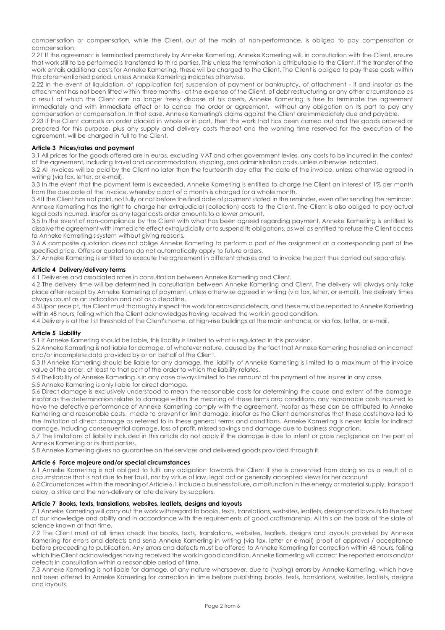compensation or compensation, while the Client, out of the main of non-performance, is obliged to pay compensation or compensation.

2.21 If the agreement is terminated prematurely by Anneke Kamerling, Anneke Kamerling will, in consultation with the Client, ensure that work still to be performed is transferred to third parties. This unless the termination is attributable to the Client. If the transfer of the work entails additional costs for Anneke Kamerling, these will be charged to the Client. The Client is obliged to pay these costs within the aforementioned period, unless Anneke Kamerling indicates otherwise.

2.22 In the event of liquidation, of (application for) suspension of payment or bankruptcy, of attachment - if and insofar as the attachment has not been lifted within three months - at the expense of the Client, of debt restructuring or any other circumstance as a result of which the Client can no longer freely dispose of his assets, Anneke Kamerling is free to terminate the agreement immediately and with immediate effect or to cancel the order or agreement, without any obligation on its part to pay any compensation or compensation. In that case, Anneke Kamerling's claims against the Client are immediately due and payable.

2.23 If the Client cancels an order placed in whole or in part, then the work that has been carried out and the goods ordered or prepared for this purpose, plus any supply and delivery costs thereof and the working time reserved for the execution of the agreement, will be charged in full to the Client.

## Article 3 Prices/rates and payment

3.1 All prices for the goods offered are in euros, excluding VAT and other government levies, any costs to be incurred in the context of the agreement, including travel and accommodation, shipping, and administration costs, unless otherwise indicated.

3.2 All invoices will be paid by the Client no later than the fourteenth day after the date of the invoice, unless otherwise agreed in writing (via fax, letter, or e-mail).

3.3 In the event that the payment term is exceeded, Anneke Kamerling is entitled to charge the Client an interest of 1% per month from the due date of the invoice, whereby a part of a month is charged for a whole month.

3.4 If the Client has not paid, not fully or not before the final date of payment stated in the reminder, even after sending the reminder, Anneke Kamerling has the right to charge her extrajudicial (collection) costs to the Client. The Client is also obliged to pay actual legal costs incurred, insofar as any legal costs order amounts to a lower amount.

3.5 In the event of non-compliance by the Client with what has been agreed regarding payment, Anneke Kamerling is entitled to dissolve the agreement with immediate effect extrajudicially or to suspend its obligations, as well as entitled to refuse the Client access to Anneke Kamerling's system without giving reasons.

3.6 A composite quotation does not oblige Anneke Kamerling to perform a part of the assignment at a corresponding part of the specified price. Offers or quotations do not automatically apply to future orders.

3.7 Anneke Kamerling is entitled to execute the agreement in different phases and to invoice the part thus carried out separately.

## Article 4 Delivery/delivery terms

4.1 Deliveries and associated rates in consultation between Anneke Kamerling and Client.

4.2 The delivery time will be determined in consultation between Anneke Kamerling and Client. The delivery will always only take place after receipt by Anneke Kamerling of payment, unless otherwise agreed in writing (via fax, letter, or e-mail). The delivery times always count as an indication and not as a deadline.

4.3 Upon receipt, the Client must thoroughly inspect the work for errors and defects, and these must be reported to Anneke Kamerling within 48 hours, failing which the Client acknowledges having received the work in good condition.

4.4 Delivery is at the 1st threshold of the Client's home, at high-rise buildings at the main entrance, or via fax, letter, or e-mail.

## Article 5 Liability

5.1 If Anneke Kamerling should be liable, this liability is limited to what is regulated in this provision.

5.2 Anneke Kamerling is not liable for damage, of whatever nature, caused by the fact that Anneke Kamerling has relied on incorrect and/or incomplete data provided by or on behalf of the Client.

5.3 If Anneke Kamerling should be liable for any damage, the liability of Anneke Kamerling is limited to a maximum of the invoice value of the order, at least to that part of the order to which the liability relates.

5.4 The liability of Anneke Kamerling is in any case always limited to the amount of the payment of her insurer in any case.

5.5 Anneke Kamerling is only liable for direct damage.

5.6 Direct damage is exclusively understood to mean the reasonable costs for determining the cause and extent of the damage, insofar as the determination relates to damage within the meaning of these terms and conditions, any reasonable costs incurred to have the defective performance of Anneke Kamerling comply with the agreement, insofar as these can be attributed to Anneke Kamerling and reasonable costs, made to prevent or limit damage, insofar as the Client demonstrates that these costs have led to the limitation of direct damage as referred to in these general terms and conditions. Anneke Kamerling is never liable for indirect damage, including consequential damage, loss of profit, missed savings and damage due to business stagnation.

5.7 The limitations of liability included in this article do not apply if the damage is due to intent or gross negligence on the part of Anneke Kamerling or its third parties.

5.8 Anneke Kamerling gives no guarantee on the services and delivered goods provided through it.

## Article 6 Force majeure and/or special circumstances

6.1 Anneke Kamerling is not obliged to fulfil any obligation towards the Client if she is prevented from doing so as a result of a circumstance that is not due to her fault, nor by virtue of law, legal act or generally accepted views for her account.

6.2 Circumstances within the meaning of Article 6.1 include a business failure, a malfunction in the energy or material supply, transport delay, a strike and the non-delivery or late delivery by suppliers.

## Article 7 Books, texts, translations, websites, leaflets, designs and layouts

7.1 Anneke Kamerling will carry out the work with regard to books, texts, translations, websites, leaflets, designs and layouts to the best of our knowledge and ability and in accordance with the requirements of good craftsmanship. All this on the basis of the state of science known at that time.

7.2 The Client must at all times check the books, texts, translations, websites, leaflets, designs and layouts provided by Anneke Kamerling for errors and defects and send Anneke Kamerling in writing (via fax, letter or e-mail) proof of approval / acceptance before proceeding to publication. Any errors and defects must be offered to Anneke Kamerling for correction within 48 hours, failing which the Client acknowledges having received the work in good condition. Anneke Kamerling will correct the reported errors and/or defects in consultation within a reasonable period of time.

7.3 Anneke Kamerling is not liable for damage, of any nature whatsoever, due to (typing) errors by Anneke Kamerling, which have not been offered to Anneke Kamerling for correction in time before publishing books, texts, translations, websites, leaflets, designs and layouts.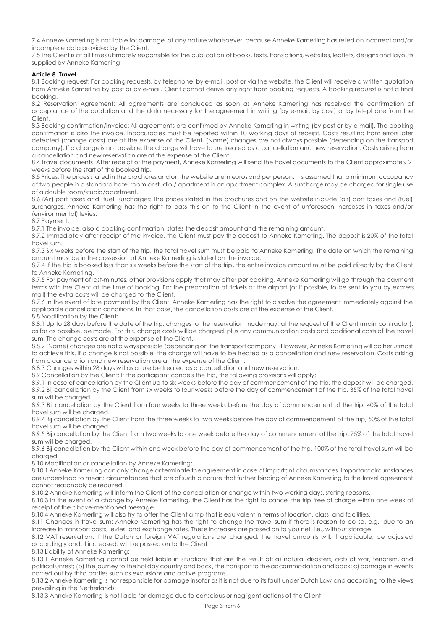7.4 Anneke Kamerling is not liable for damage, of any nature whatsoever, because Anneke Kamerling has relied on incorrect and/or incomplete data provided by the Client.

7.5 The Client is at all times ultimately responsible for the publication of books, texts, translations, websites, leaflets, designs and layouts supplied by Anneke Kamerling

# Article 8 Travel

8.1 Booking request: For booking requests, by telephone, by e-mail, post or via the website, the Client will receive a written quotation from Anneke Kamerling by post or by e-mail. Client cannot derive any right from booking requests. A booking request is not a final booking.

8.2 Reservation Agreement: All agreements are concluded as soon as Anneke Kamerling has received the confirmation of acceptance of the quotation and the data necessary for the agreement in writing (by e-mail, by post) or by telephone from the Client.

8.3 Booking confirmation/Invoice: All agreements are confirmed by Anneke Kamerling in writing (by post or by e-mail). The booking confirmation is also the invoice. Inaccuracies must be reported within 10 working days of receipt. Costs resulting from errors later detected (change costs) are at the expense of the Client. (Name) changes are not always possible (depending on the transport company). If a change is not possible, the change will have to be treated as a cancellation and new reservation. Costs arising from a cancellation and new reservation are at the expense of the Client.

8.4 Travel documents: After receipt of the payment, Anneke Kamerling will send the travel documents to the Client approximately 2 weeks before the start of the booked trip.

8.5 Prices: The prices stated in the brochures and on the website are in euros and per person. It is assumed that a minimum occupancy of two people in a standard hotel room or studio / apartment in an apartment complex. A surcharge may be charged for single use of a double room/studio/apartment.

8.6 (Air) port taxes and (fuel) surcharges: The prices stated in the brochures and on the website include (air) port taxes and (fuel) surcharges. Anneke Kamerling has the right to pass this on to the Client in the event of unforeseen increases in taxes and/or (environmental) levies.

8.7 Payment:

8.7.1 The invoice, also a booking confirmation, states the deposit amount and the remaining amount.

8.7.2 Immediately after receipt of the invoice, the Client must pay the deposit to Anneke Kamerling. The deposit is 20% of the total travel sum.

8.7.3 Six weeks before the start of the trip, the total travel sum must be paid to Anneke Kamerling. The date on which the remaining amount must be in the possession of Anneke Kamerling is stated on the invoice.

8.7.4 If the trip is booked less than six weeks before the start of the trip, the entire invoice amount must be paid directly by the Client to Anneke Kamerling.

8.7.5 For payment of last-minutes, other provisions apply that may differ per booking. Anneke Kamerling will go through the payment terms with the Client at the time of booking. For the preparation of tickets at the airport (or if possible, to be sent to you by express mail) the extra costs will be charged to the Client.

8.7.6 In the event of late payment by the Client, Anneke Kamerling has the right to dissolve the agreement immediately against the applicable cancellation conditions. In that case, the cancellation costs are at the expense of the Client.

8.8 Modification by the Client:

8.8.1 Up to 28 days before the date of the trip, changes to the reservation made may, at the request of the Client (main contractor), as far as possible, be made. For this, change costs will be charged, plus any communication costs and additional costs of the travel sum. The change costs are at the expense of the Client.

8.8.2 (Name) changes are not always possible (depending on the transport company). However, Anneke Kamerling will do her utmost to achieve this. If a change is not possible, the change will have to be treated as a cancellation and new reservation. Costs arising from a cancellation and new reservation are at the expense of the Client.

8.8.3 Changes within 28 days will as a rule be treated as a cancellation and new reservation.

8.9 Cancellation by the Client: If the participant cancels the trip, the following provisions will apply:

8.9.1 In case of cancellation by the Client up to six weeks before the day of commencement of the trip, the deposit will be charged. 8.9.2 Bij cancellation by the Client from six weeks to four weeks before the day of commencement of the trip, 35% of the total travel sum will be charged.

8.9.3 Bij cancellation by the Client from four weeks to three weeks before the day of commencement of the trip, 40% of the total travel sum will be charged.

8.9.4 Bij cancellation by the Client from the three weeks to two weeks before the day of commencement of the trip, 50% of the total travel sum will be charged.

8.9.5 Bij cancellation by the Client from two weeks to one week before the day of commencement of the trip, 75% of the total travel sum will be charged.

8.9.6 Bij cancellation by the Client within one week before the day of commencement of the trip, 100% of the total travel sum will be charged

8.10 Modification or cancellation by Anneke Kamerling:

8.10.1 Anneke Kamerling can only change or terminate the agreement in case of important circumstances. Important circumstances are understood to mean: circumstances that are of such a nature that further binding of Anneke Kamerling to the travel agreement cannot reasonably be required.

8.10.2 Anneke Kamerling will inform the Client of the cancellation or change within two working days, stating reasons.

8.10.3 In the event of a change by Anneke Kamerling, the Client has the right to cancel the trip free of charge within one week of receipt of the above-mentioned message.

8.10.4 Anneke Kamerling will also try to offer the Client a trip that is equivalent in terms of location, class, and facilities.

8.11 Changes in travel sum: Anneke Kamerling has the right to change the travel sum if there is reason to do so, e.g., due to an increase in transport costs, levies, and exchange rates. These increases are passed on to you net, i.e., without storage.

8.12 VAT reservation: If the Dutch or foreign VAT regulations are changed, the travel amounts will, if applicable, be adjusted accordingly and, if increased, will be passed on to the Client.

8.13 Liability of Anneke Kamerling:

8.13.1 Anneke Kamerling cannot be held liable in situations that are the result of: a) natural disasters, acts of war, terrorism, and political unrest; (b) the journey to the holiday country and back, the transport to the accommodation and back; c) damage in events carried out by third parties such as excursions and active programs.

8.13.2 Anneke Kamerling is not responsible for damage insofar as it is not due to its fault under Dutch Law and according to the views prevailing in the Netherlands.

8.13.3 Anneke Kamerling is not liable for damage due to conscious or negligent actions of the Client.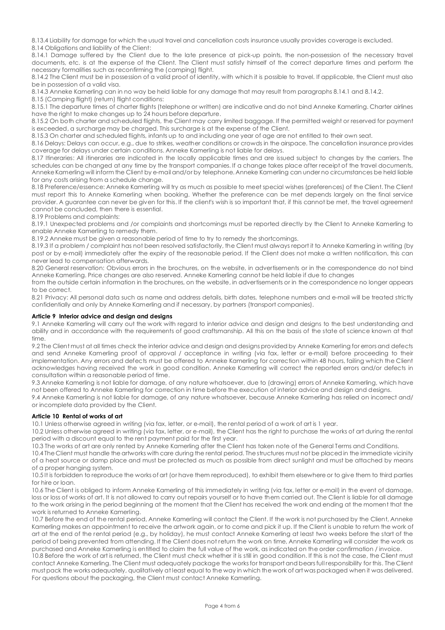8.13.4 Liability for damage for which the usual travel and cancellation costs insurance usually provides coverage is excluded. 8.14 Obligations and liability of the Client:

8.14.1 Damage suffered by the Client due to the late presence at pick-up points, the non-possession of the necessary travel documents, etc. is at the expense of the Client. The Client must satisfy himself of the correct departure times and perform the necessary formalities such as reconfirming the (camping) flight.

8.14.2 The Client must be in possession of a valid proof of identity, with which it is possible to travel. If applicable, the Client must also be in possession of a valid visa.

8.14.3 Anneke Kamerling can in no way be held liable for any damage that may result from paragraphs 8.14.1 and 8.14.2.

8.15 (Camping flight) (return) flight conditions:

8.15.1 The departure times of charter flights (telephone or written) are indicative and do not bind Anneke Kamerling. Charter airlines have the right to make changes up to 24 hours before departure.

8.15.2 On both charter and scheduled flights, the Client may carry limited baggage. If the permitted weight or reserved for payment is exceeded, a surcharge may be charged. This surcharge is at the expense of the Client.

8.15.3 On charter and scheduled flights, infants up to and including one year of age are not entitled to their own seat.

8.16 Delays: Delays can occur, e.g., due to strikes, weather conditions or crowds in the airspace. The cancellation insurance provides coverage for delays under certain conditions. Anneke Kamerling is not liable for delays.

8.17 Itineraries: All itineraries are indicated in the locally applicable times and are issued subject to changes by the carriers. The schedules can be changed at any time by the transport companies. If a change takes place after receipt of the travel documents, Anneke Kamerling will inform the Client by e-mail and/or by telephone. Anneke Kamerling can under no circumstances be held liable for any costs arising from a schedule change.

8.18 Preference/essence: Anneke Kamerling will try as much as possible to meet special wishes (preferences) of the Client. The Client must report this to Anneke Kamerling when booking. Whether the preference can be met depends largely on the final service provider. A guarantee can never be given for this. If the client's wish is so important that, if this cannot be met, the travel agreement cannot be concluded, then there is essential.

8.19 Problems and complaints:

8.19.1 Unexpected problems and /or complaints and shortcomings must be reported directly by the Client to Anneke Kamerling to enable Anneke Kamerling to remedy them.

8.19.2 Anneke must be given a reasonable period of time to try to remedy the shortcomings.

8.19.3 If a problem / complaint has not been resolved satisfactorily, the Client must always report it to Anneke Kamerling in writing (by post or by e-mail) immediately after the expiry of the reasonable period. If the Client does not make a written notification, this can never lead to compensation afterwards.

8.20 General reservation: Obvious errors in the brochures, on the website, in advertisements or in the correspondence do not bind Anneke Kamerling. Price changes are also reserved. Anneke Kamerling cannot be held liable if due to changes

from the outside certain information in the brochures, on the website, in advertisements or in the correspondence no longer appears to be correct.

8.21 Privacy: All personal data such as name and address details, birth dates, telephone numbers and e-mail will be treated strictly confidentially and only by Anneke Kamerling and if necessary, by partners (transport companies).

### Article 9 Interior advice and design and designs

9.1 Anneke Kamerling will carry out the work with regard to interior advice and design and designs to the best understanding and ability and in accordance with the requirements of good craftsmanship. All this on the basis of the state of science known at that time.

9.2 The Client must at all times check the interior advice and design and designs provided by Anneke Kamerling for errors and defects and send Anneke Kamerling proof of approval / acceptance in writing (via fax, letter or e-mail) before proceeding to their implementation. Any errors and defects must be offered to Anneke Kamerling for correction within 48 hours, failing which the Client acknowledges having received the work in good condition. Anneke Kamerling will correct the reported errors and/or defects in consultation within a reasonable period of time.

9.3 Anneke Kamerling is not liable for damage, of any nature whatsoever, due to (drawing) errors of Anneke Kamerling, which have not been offered to Anneke Kamerling for correction in time before the execution of interior advice and design and designs.

9.4 Anneke Kamerling is not liable for damage, of any nature whatsoever, because Anneke Kamerling has relied on incorrect and/ or incomplete data provided by the Client.

## Article 10 Rental of works of art

10.1 Unless otherwise agreed in writing (via fax, letter, or e-mail), the rental period of a work of art is 1 year.

10.2 Unless otherwise agreed in writing (via fax, letter, or e-mail), the Client has the right to purchase the works of art during the rental period with a discount equal to the rent payment paid for the first year.

10.3 The works of art are only rented by Anneke Kamerling after the Client has taken note of the General Terms and Conditions.

10.4 The Client must handle the artworks with care during the rental period. The structures must not be placed in the immediate vicinity of a heat source or damp place and must be protected as much as possible from direct sunlight and must be attached by means of a proper hanging system.

10.5 It is forbidden to reproduce the works of art (or have them reproduced), to exhibit them elsewhere or to give them to third parties for hire or loan.

10.6 The Client is obliged to inform Anneke Kamerling of this immediately in writing (via fax, letter or e-mail) in the event of damage, loss or loss of works of art. It is not allowed to carry out repairs yourself or to have them carried out. The Client is liable for all damage to the work arising in the period beginning at the moment that the Client has received the work and ending at the moment that the work is returned to Anneke Kamerling.

10.7 Before the end of the rental period, Anneke Kamerling will contact the Client. If the work is not purchased by the Client, Anneke Kamerling makes an appointment to receive the artwork again, or to come and pick it up. If the Client is unable to return the work of art at the end of the rental period (e.g., by holiday), he must contact Anneke Kamerling at least two weeks before the start of the period of being prevented from attending. If the Client does not return the work on time, Anneke Kamerling will consider the work as purchased and Anneke Kamerling is entitled to claim the full value of the work, as indicated on the order confirmation / invoice.

10.8 Before the work of art is returned, the Client must check whether it is still in good condition. If this is not the case, the Client must contact Anneke Kamerling. The Client must adequately package the works for transport and bears full responsibility for this. The Client must pack the works adequately, qualitatively at least equal to the way in which the work of art was packaged when it was delivered. For questions about the packaging, the Client must contact Anneke Kamerling.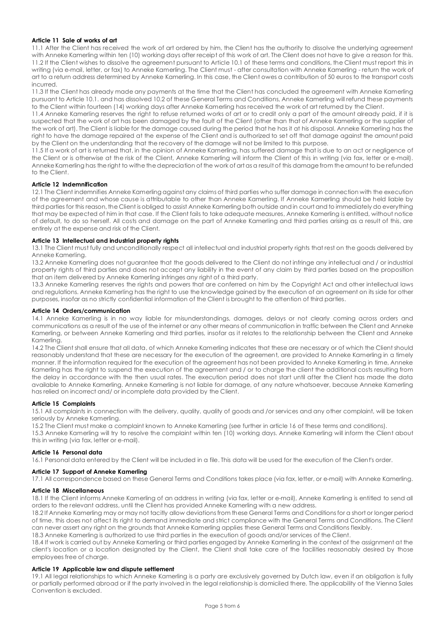## Article 11 Sale of works of art

11.1 After the Client has received the work of art ordered by him, the Client has the authority to dissolve the underlying agreement with Anneke Kamerling within ten (10) working days after receipt of this work of art. The Client does not have to give a reason for this. 11.2 If the Client wishes to dissolve the agreement pursuant to Article 10.1 of these terms and conditions, the Client must report this in writing (via e-mail, letter, or fax) to Anneke Kamerling. The Client must - after consultation with Anneke Kamerling - return the work of art to a return address determined by Anneke Kamerling. In this case, the Client owes a contribution of 50 euros to the transport costs incurred.

11.3 If the Client has already made any payments at the time that the Client has concluded the agreement with Anneke Kamerling pursuant to Article 10.1. and has dissolved 10.2 of these General Terms and Conditions, Anneke Kamerling will refund these payments to the Client within fourteen (14) working days after Anneke Kamerling has received the work of art returned by the Client.

11.4 Anneke Kamerling reserves the right to refuse returned works of art or to credit only a part of the amount already paid, if it is suspected that the work of art has been damaged by the fault of the Client (other than that of Anneke Kamerling or the supplier of the work of art). The Client is liable for the damage caused during the period that he has it at his disposal. Anneke Kamerling has the right to have the damage repaired at the expense of the Client and is authorized to set off that damage against the amount paid by the Client on the understanding that the recovery of the damage will not be limited to this purpose.

11.5 If a work of art is returned that, in the opinion of Anneke Kamerling, has suffered damage that is due to an act or negligence of the Client or is otherwise at the risk of the Client, Anneke Kamerling will inform the Client of this in writing (via fax, letter or e-mail). Anneke Kamerling has the right to withe the depreciation of the work of art as a result of this damage from the amount to be refunded to the Client.

## Article 12 Indemnification

12.1 The Client indemnifies Anneke Kamerling against any claims of third parties who suffer damage in connection with the execution of the agreement and whose cause is attributable to other than Anneke Kamerling. If Anneke Kamerling should be held liable by third parties for this reason, the Client is obliged to assist Anneke Kamerling both outside and in court and to immediately do everything that may be expected of him in that case. If the Client fails to take adequate measures, Anneke Kamerling is entitled, without notice of default, to do so herself. All costs and damage on the part of Anneke Kamerling and third parties arising as a result of this, are entirely at the expense and risk of the Client.

## Article 13 Intellectual and industrial property rights

13.1 The Client must fully and unconditionally respect all intellectual and industrial property rights that rest on the goods delivered by Anneke Kamerling.

13.2 Anneke Kamerling does not guarantee that the goods delivered to the Client do not infringe any intellectual and / or industrial property rights of third parties and does not accept any liability in the event of any claim by third parties based on the proposition that an item delivered by Anneke Kamerling infringes any right of a third party.

13.3 Anneke Kamerling reserves the rights and powers that are conferred on him by the Copyright Act and other intellectual laws and regulations. Anneke Kamerling has the right to use the knowledge gained by the execution of an agreement on its side for other purposes, insofar as no strictly confidential information of the Client is brought to the attention of third parties.

### Article 14 Orders/communication

14.1 Anneke Kamerling is in no way liable for misunderstandings, damages, delays or not clearly coming across orders and communications as a result of the use of the internet or any other means of communication in traffic between the Client and Anneke Kamerling, or between Anneke Kamerling and third parties, insofar as it relates to the relationship between the Client and Anneke Kamerling.

14.2 The Client shall ensure that all data, of which Anneke Kamerling indicates that these are necessary or of which the Client should reasonably understand that these are necessary for the execution of the agreement, are provided to Anneke Kamerling in a timely manner. If the information required for the execution of the agreement has not been provided to Anneke Kamerling in time, Anneke Kamerling has the right to suspend the execution of the agreement and / or to charge the client the additional costs resulting from the delay in accordance with the then usual rates. The execution period does not start until after the Client has made the data available to Anneke Kamerling. Anneke Kamerling is not liable for damage, of any nature whatsoever, because Anneke Kamerling has relied on incorrect and/ or incomplete data provided by the Client.

#### Article 15 Complaints

15.1 All complaints in connection with the delivery, quality, quality of goods and /or services and any other complaint, will be taken seriously by Anneke Kamerling.

15.2 The Client must make a complaint known to Anneke Kamerling (see further in article 16 of these terms and conditions).

15.3 Anneke Kamerling will try to resolve the complaint within ten (10) working days. Anneke Kamerling will inform the Client about this in writing (via fax, letter or e-mail).

## Article 16 Personal data

16.1 Personal data entered by the Client will be included in a file. This data will be used for the execution of the Client's order.

## Article 17 Support of Anneke Kamerling

17.1 All correspondence based on these General Terms and Conditions takes place (via fax, letter, or e-mail) with Anneke Kamerling.

#### Article 18 Miscellaneous

18.1 If the Client informs Anneke Kamerling of an address in writing (via fax, letter or e-mail), Anneke Kamerling is entitled to send all orders to the relevant address, until the Client has provided Anneke Kamerling with a new address.

18.2 If Anneke Kamerling may or may not tacitly allow deviations from these General Terms and Conditions for a short or longer period of time, this does not affect its right to demand immediate and strict compliance with the General Terms and Conditions. The Client can never assert any right on the grounds that Anneke Kamerling applies these General Terms and Conditions flexibly. 18.3 Anneke Kamerling is authorized to use third parties in the execution of goods and/or services of the Client.

18.4 If work is carried out by Anneke Kamerling or third parties engaged by Anneke Kamerling in the context of the assignment at the client's location or a location designated by the Client, the Client shall take care of the facilities reasonably desired by those employees free of charge.

### Article 19 Applicable law and dispute settlement

19.1 All legal relationships to which Anneke Kamerling is a party are exclusively governed by Dutch law, even if an obligation is fully or partially performed abroad or if the party involved in the legal relationship is domiciled there. The applicability of the Vienna Sales Convention is excluded.